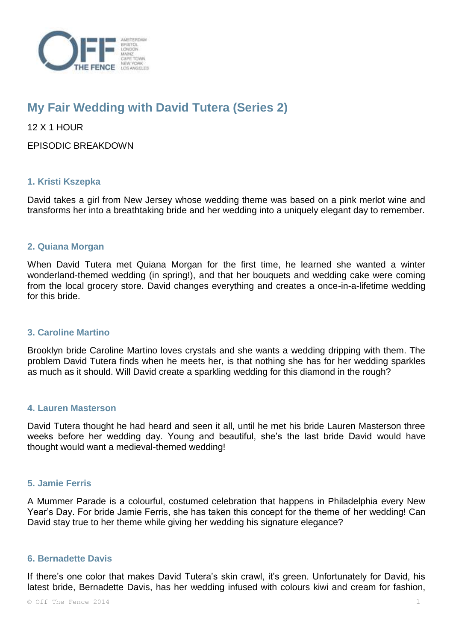

# **My Fair Wedding with David Tutera (Series 2)**

12 X 1 HOUR

EPISODIC BREAKDOWN

# **1. Kristi Kszepka**

David takes a girl from New Jersey whose wedding theme was based on a pink merlot wine and transforms her into a breathtaking bride and her wedding into a uniquely elegant day to remember.

## **2. Quiana Morgan**

When David Tutera met Quiana Morgan for the first time, he learned she wanted a winter wonderland-themed wedding (in spring!), and that her bouquets and wedding cake were coming from the local grocery store. David changes everything and creates a once-in-a-lifetime wedding for this bride.

## **3. Caroline Martino**

Brooklyn bride Caroline Martino loves crystals and she wants a wedding dripping with them. The problem David Tutera finds when he meets her, is that nothing she has for her wedding sparkles as much as it should. Will David create a sparkling wedding for this diamond in the rough?

## **4. Lauren Masterson**

David Tutera thought he had heard and seen it all, until he met his bride Lauren Masterson three weeks before her wedding day. Young and beautiful, she's the last bride David would have thought would want a medieval-themed wedding!

## **5. Jamie Ferris**

A Mummer Parade is a colourful, costumed celebration that happens in Philadelphia every New Year's Day. For bride Jamie Ferris, she has taken this concept for the theme of her wedding! Can David stay true to her theme while giving her wedding his signature elegance?

## **6. Bernadette Davis**

If there's one color that makes David Tutera's skin crawl, it's green. Unfortunately for David, his latest bride, Bernadette Davis, has her wedding infused with colours kiwi and cream for fashion,